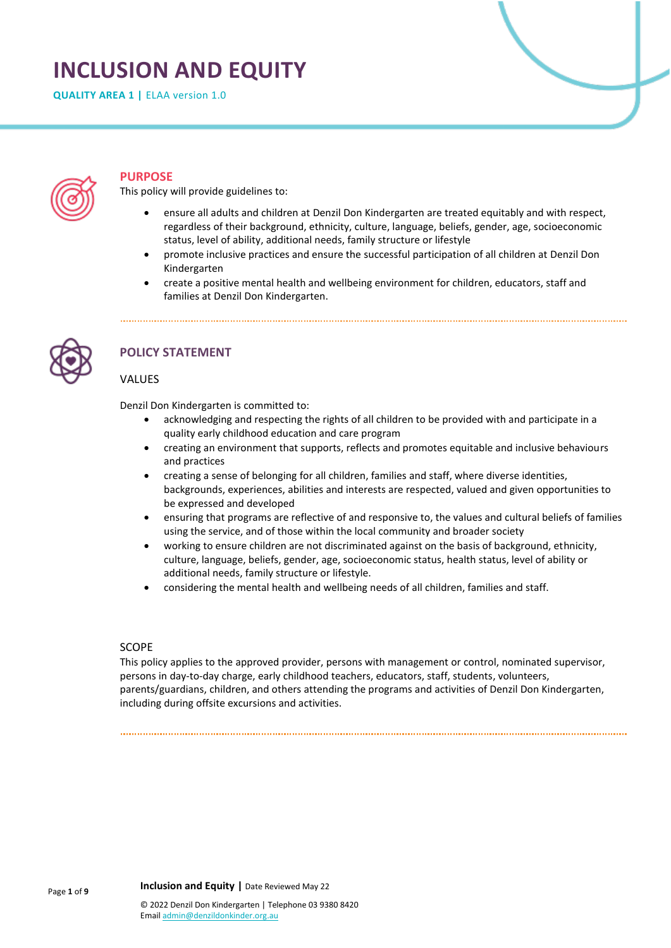# **INCLUSION AND EQUITY**

**QUALITY AREA 1 | ELAA version 1.0** 



## **PURPOSE**

This policy will provide guidelines to:

- ensure all adults and children at Denzil Don Kindergarten are treated equitably and with respect, regardless of their background, ethnicity, culture, language, beliefs, gender, age, socioeconomic status, level of ability, additional needs, family structure or lifestyle
- promote inclusive practices and ensure the successful participation of all children at Denzil Don Kindergarten
- create a positive mental health and wellbeing environment for children, educators, staff and families at Denzil Don Kindergarten.



# **POLICY STATEMENT**

## VALUES

Denzil Don Kindergarten is committed to:

- acknowledging and respecting the rights of all children to be provided with and participate in a quality early childhood education and care program
- creating an environment that supports, reflects and promotes equitable and inclusive behaviours and practices
- creating a sense of belonging for all children, families and staff, where diverse identities, backgrounds, experiences, abilities and interests are respected, valued and given opportunities to be expressed and developed
- ensuring that programs are reflective of and responsive to, the values and cultural beliefs of families using the service, and of those within the local community and broader society
- working to ensure children are not discriminated against on the basis of background, ethnicity, culture, language, beliefs, gender, age, socioeconomic status, health status, level of ability or additional needs, family structure or lifestyle.
- considering the mental health and wellbeing needs of all children, families and staff.

## SCOPE

This policy applies to the approved provider, persons with management or control, nominated supervisor, persons in day-to-day charge, early childhood teachers, educators, staff, students, volunteers, parents/guardians, children, and others attending the programs and activities of Denzil Don Kindergarten, including during offsite excursions and activities.

**Inclusion and Equity |** Date Reviewed May 22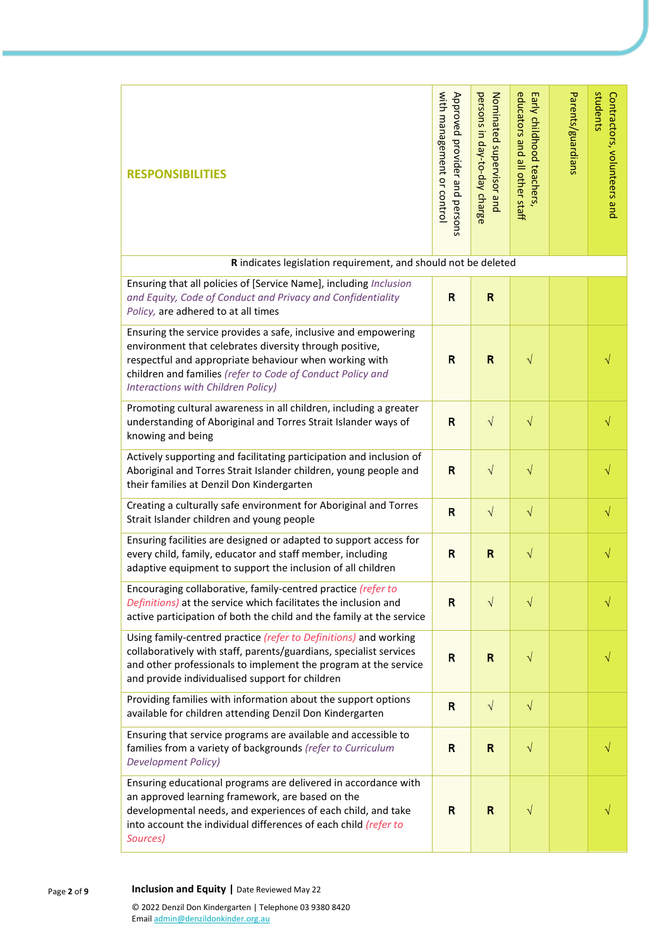| <b>RESPONSIBILITIES</b>                                                                                                                                                                                                                                                                 | with management or control<br>Approved provider and<br>persons | persons in day-to-day charge<br>Nominated supervisor and | educators and all other staff<br>Early childhood teachers | Parents/guardians | students<br>Contractors, volunteers and |
|-----------------------------------------------------------------------------------------------------------------------------------------------------------------------------------------------------------------------------------------------------------------------------------------|----------------------------------------------------------------|----------------------------------------------------------|-----------------------------------------------------------|-------------------|-----------------------------------------|
| R indicates legislation requirement, and should not be deleted                                                                                                                                                                                                                          |                                                                |                                                          |                                                           |                   |                                         |
| Ensuring that all policies of [Service Name], including Inclusion<br>and Equity, Code of Conduct and Privacy and Confidentiality<br>Policy, are adhered to at all times                                                                                                                 | $\mathsf R$                                                    | R                                                        |                                                           |                   |                                         |
| Ensuring the service provides a safe, inclusive and empowering<br>environment that celebrates diversity through positive,<br>respectful and appropriate behaviour when working with<br>children and families (refer to Code of Conduct Policy and<br>Interactions with Children Policy) | $\mathsf{R}$                                                   | R                                                        | $\sqrt{}$                                                 |                   |                                         |
| Promoting cultural awareness in all children, including a greater<br>understanding of Aboriginal and Torres Strait Islander ways of<br>knowing and being                                                                                                                                | $\mathsf{R}$                                                   | $\sqrt{ }$                                               | $\sqrt{}$                                                 |                   | $\sqrt{}$                               |
| Actively supporting and facilitating participation and inclusion of<br>Aboriginal and Torres Strait Islander children, young people and<br>their families at Denzil Don Kindergarten                                                                                                    | $\mathsf{R}$                                                   | $\sqrt{}$                                                | $\sqrt{}$                                                 |                   |                                         |
| Creating a culturally safe environment for Aboriginal and Torres<br>Strait Islander children and young people                                                                                                                                                                           | $\mathsf{R}$                                                   | $\sqrt{ }$                                               | $\sqrt{}$                                                 |                   | $\sqrt{}$                               |
| Ensuring facilities are designed or adapted to support access for<br>every child, family, educator and staff member, including<br>adaptive equipment to support the inclusion of all children                                                                                           | $\mathsf R$                                                    | R                                                        | $\sqrt{}$                                                 |                   |                                         |
| Encouraging collaborative, family-centred practice (refer to<br>Definitions) at the service which facilitates the inclusion and<br>active participation of both the child and the family at the service                                                                                 | $\mathsf R$                                                    | $\sqrt{}$                                                | $\sqrt{}$                                                 |                   |                                         |
| Using family-centred practice (refer to Definitions) and working<br>collaboratively with staff, parents/guardians, specialist services<br>and other professionals to implement the program at the service<br>and provide individualised support for children                            | $\mathsf{R}$                                                   | $\mathsf{R}$                                             | $\sqrt{}$                                                 |                   |                                         |
| Providing families with information about the support options<br>available for children attending Denzil Don Kindergarten                                                                                                                                                               | $\mathsf{R}$                                                   | $\sqrt{ }$                                               | $\sqrt{}$                                                 |                   |                                         |
| Ensuring that service programs are available and accessible to<br>families from a variety of backgrounds (refer to Curriculum<br><b>Development Policy)</b>                                                                                                                             | $\mathsf R$                                                    | $\mathsf{R}$                                             | $\sqrt{}$                                                 |                   |                                         |
| Ensuring educational programs are delivered in accordance with<br>an approved learning framework, are based on the<br>developmental needs, and experiences of each child, and take<br>into account the individual differences of each child (refer to<br>Sources)                       | $\mathsf{R}$                                                   | $\mathsf{R}$                                             | V                                                         |                   |                                         |

Page **2** of **9 Inclusion and Equity |** Date Reviewed May 22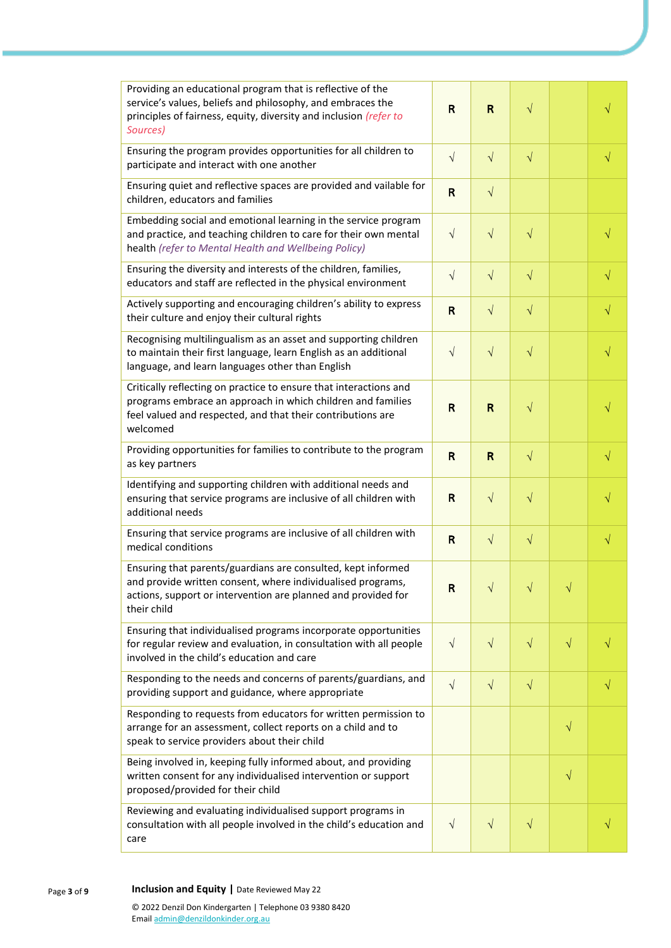| Providing an educational program that is reflective of the<br>service's values, beliefs and philosophy, and embraces the<br>principles of fairness, equity, diversity and inclusion (refer to<br>Sources)   | R            | R            | $\sqrt{}$    |           | $\sqrt{}$ |
|-------------------------------------------------------------------------------------------------------------------------------------------------------------------------------------------------------------|--------------|--------------|--------------|-----------|-----------|
| Ensuring the program provides opportunities for all children to<br>participate and interact with one another                                                                                                | $\sqrt{}$    | $\sqrt{}$    | $\sqrt{}$    |           | $\sqrt{}$ |
| Ensuring quiet and reflective spaces are provided and vailable for<br>children, educators and families                                                                                                      | $\mathsf{R}$ | $\sqrt{ }$   |              |           |           |
| Embedding social and emotional learning in the service program<br>and practice, and teaching children to care for their own mental<br>health (refer to Mental Health and Wellbeing Policy)                  | $\sqrt{}$    | $\sqrt{}$    | $\sqrt{}$    |           | $\sqrt{}$ |
| Ensuring the diversity and interests of the children, families,<br>educators and staff are reflected in the physical environment                                                                            | $\sqrt{}$    | $\sqrt{ }$   | $\sqrt{}$    |           | $\sqrt{}$ |
| Actively supporting and encouraging children's ability to express<br>their culture and enjoy their cultural rights                                                                                          | R            | $\sqrt{ }$   | $\sqrt{}$    |           | $\sqrt{}$ |
| Recognising multilingualism as an asset and supporting children<br>to maintain their first language, learn English as an additional<br>language, and learn languages other than English                     | $\sqrt{}$    | $\sqrt{}$    | $\sqrt{}$    |           | $\sqrt{}$ |
| Critically reflecting on practice to ensure that interactions and<br>programs embrace an approach in which children and families<br>feel valued and respected, and that their contributions are<br>welcomed | $\mathsf{R}$ | $\mathsf{R}$ | $\sqrt{}$    |           |           |
| Providing opportunities for families to contribute to the program<br>as key partners                                                                                                                        | $\mathsf{R}$ | R            | $\sqrt{}$    |           | $\sqrt{}$ |
| Identifying and supporting children with additional needs and<br>ensuring that service programs are inclusive of all children with<br>additional needs                                                      | R            | $\sqrt{}$    | $\sqrt{}$    |           | $\sqrt{}$ |
| Ensuring that service programs are inclusive of all children with<br>medical conditions                                                                                                                     | $\mathsf{R}$ | $\sqrt{ }$   | $\sqrt{}$    |           | $\sqrt{}$ |
| Ensuring that parents/guardians are consulted, kept informed<br>and provide written consent, where individualised programs,<br>actions, support or intervention are planned and provided for<br>their child | $\mathsf{R}$ | $\mathbf{I}$ | $\mathbf{I}$ |           |           |
| Ensuring that individualised programs incorporate opportunities<br>for regular review and evaluation, in consultation with all people<br>involved in the child's education and care                         | $\sqrt{}$    | $\sqrt{}$    | $\sqrt{}$    | $\sqrt{}$ |           |
| Responding to the needs and concerns of parents/guardians, and<br>providing support and guidance, where appropriate                                                                                         | $\sqrt{}$    | $\sqrt{}$    | $\sqrt{}$    |           | $\sqrt{}$ |
| Responding to requests from educators for written permission to<br>arrange for an assessment, collect reports on a child and to<br>speak to service providers about their child                             |              |              |              | $\sqrt{}$ |           |
| Being involved in, keeping fully informed about, and providing<br>written consent for any individualised intervention or support<br>proposed/provided for their child                                       |              |              |              | $\sqrt{}$ |           |
| Reviewing and evaluating individualised support programs in<br>consultation with all people involved in the child's education and<br>care                                                                   | $\sqrt{}$    | $\sqrt{}$    | $\sqrt{}$    |           |           |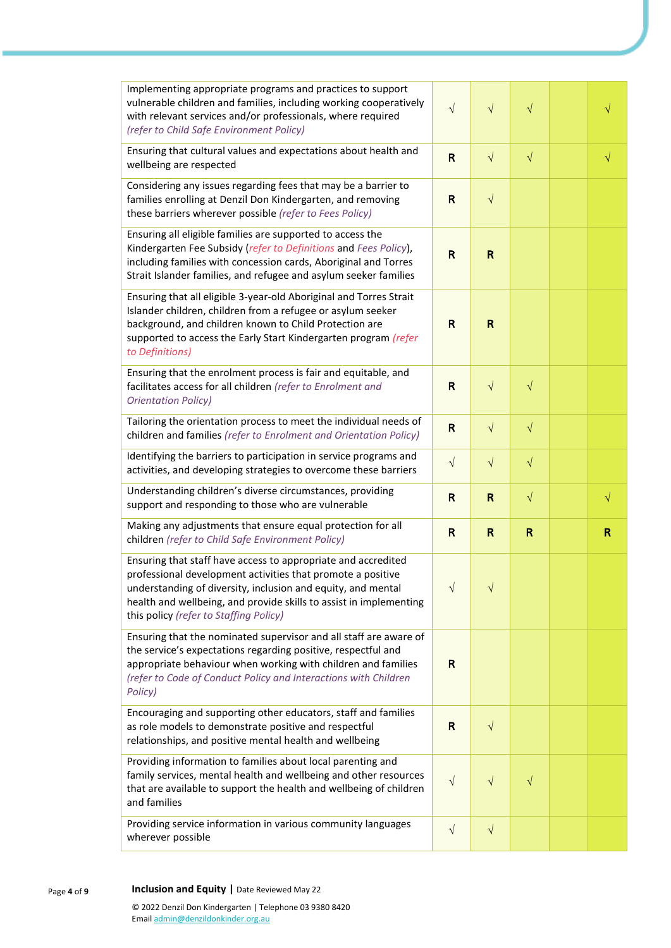| Implementing appropriate programs and practices to support<br>vulnerable children and families, including working cooperatively<br>with relevant services and/or professionals, where required<br>(refer to Child Safe Environment Policy)                                                                   | $\sqrt{}$    | $\sqrt{}$    | $\sqrt{}$    | √         |
|--------------------------------------------------------------------------------------------------------------------------------------------------------------------------------------------------------------------------------------------------------------------------------------------------------------|--------------|--------------|--------------|-----------|
| Ensuring that cultural values and expectations about health and<br>wellbeing are respected                                                                                                                                                                                                                   | $\mathsf{R}$ | $\sqrt{ }$   | $\sqrt{}$    | $\sqrt{}$ |
| Considering any issues regarding fees that may be a barrier to<br>families enrolling at Denzil Don Kindergarten, and removing<br>these barriers wherever possible (refer to Fees Policy)                                                                                                                     | $\mathsf{R}$ | $\sqrt{}$    |              |           |
| Ensuring all eligible families are supported to access the<br>Kindergarten Fee Subsidy (refer to Definitions and Fees Policy),<br>including families with concession cards, Aboriginal and Torres<br>Strait Islander families, and refugee and asylum seeker families                                        | $\mathsf{R}$ | $\mathsf{R}$ |              |           |
| Ensuring that all eligible 3-year-old Aboriginal and Torres Strait<br>Islander children, children from a refugee or asylum seeker<br>background, and children known to Child Protection are<br>supported to access the Early Start Kindergarten program (refer<br>to Definitions)                            | $\mathsf{R}$ | $\mathbf R$  |              |           |
| Ensuring that the enrolment process is fair and equitable, and<br>facilitates access for all children (refer to Enrolment and<br><b>Orientation Policy)</b>                                                                                                                                                  | R            | $\sqrt{ }$   | $\sqrt{}$    |           |
| Tailoring the orientation process to meet the individual needs of<br>children and families (refer to Enrolment and Orientation Policy)                                                                                                                                                                       | $\mathbf R$  | $\sqrt{ }$   | $\sqrt{}$    |           |
| Identifying the barriers to participation in service programs and<br>activities, and developing strategies to overcome these barriers                                                                                                                                                                        | $\sqrt{}$    | $\sqrt{ }$   | $\sqrt{}$    |           |
| Understanding children's diverse circumstances, providing<br>support and responding to those who are vulnerable                                                                                                                                                                                              | $\mathsf{R}$ | R            | $\sqrt{}$    | $\sqrt{}$ |
|                                                                                                                                                                                                                                                                                                              |              |              |              |           |
| Making any adjustments that ensure equal protection for all<br>children (refer to Child Safe Environment Policy)                                                                                                                                                                                             | $\mathsf{R}$ | $\mathsf{R}$ | $\mathsf{R}$ | R         |
| Ensuring that staff have access to appropriate and accredited<br>professional development activities that promote a positive<br>understanding of diversity, inclusion and equity, and mental<br>health and wellbeing, and provide skills to assist in implementing<br>this policy (refer to Staffing Policy) | $\sqrt{ }$   |              |              |           |
| Ensuring that the nominated supervisor and all staff are aware of<br>the service's expectations regarding positive, respectful and<br>appropriate behaviour when working with children and families<br>(refer to Code of Conduct Policy and Interactions with Children<br>Policy)                            | R            |              |              |           |
| Encouraging and supporting other educators, staff and families<br>as role models to demonstrate positive and respectful<br>relationships, and positive mental health and wellbeing                                                                                                                           | $\mathsf{R}$ | $\sqrt{}$    |              |           |
| Providing information to families about local parenting and<br>family services, mental health and wellbeing and other resources<br>that are available to support the health and wellbeing of children<br>and families                                                                                        | $\sqrt{}$    | $\sqrt{}$    | $\sqrt{}$    |           |
| Providing service information in various community languages<br>wherever possible                                                                                                                                                                                                                            | $\sqrt{}$    | $\sqrt{}$    |              |           |

Page **4** of **9 Inclusion and Equity |** Date Reviewed May 22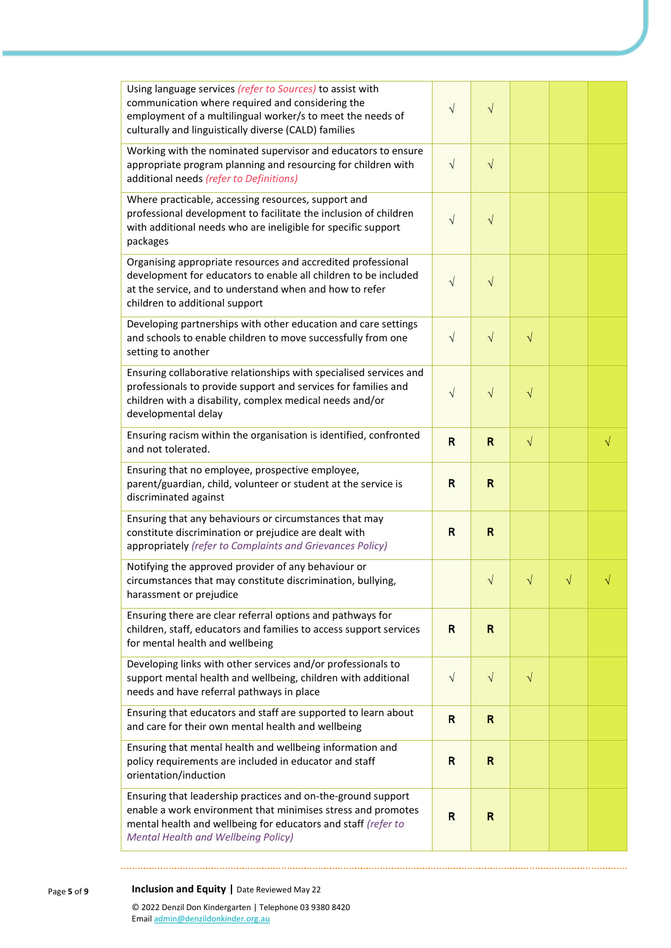| Using language services (refer to Sources) to assist with<br>communication where required and considering the<br>employment of a multilingual worker/s to meet the needs of<br>culturally and linguistically diverse (CALD) families        | $\sqrt{}$    | $\sqrt{}$    |           |           |           |
|---------------------------------------------------------------------------------------------------------------------------------------------------------------------------------------------------------------------------------------------|--------------|--------------|-----------|-----------|-----------|
| Working with the nominated supervisor and educators to ensure<br>appropriate program planning and resourcing for children with<br>additional needs (refer to Definitions)                                                                   | $\sqrt{}$    | $\sqrt{}$    |           |           |           |
| Where practicable, accessing resources, support and<br>professional development to facilitate the inclusion of children<br>with additional needs who are ineligible for specific support<br>packages                                        | $\sqrt{}$    | $\sqrt{}$    |           |           |           |
| Organising appropriate resources and accredited professional<br>development for educators to enable all children to be included<br>at the service, and to understand when and how to refer<br>children to additional support                | $\sqrt{ }$   | $\sqrt{}$    |           |           |           |
| Developing partnerships with other education and care settings<br>and schools to enable children to move successfully from one<br>setting to another                                                                                        | $\sqrt{ }$   | $\sqrt{}$    | $\sqrt{}$ |           |           |
| Ensuring collaborative relationships with specialised services and<br>professionals to provide support and services for families and<br>children with a disability, complex medical needs and/or<br>developmental delay                     | $\sqrt{}$    | $\sqrt{}$    | $\sqrt{}$ |           |           |
| Ensuring racism within the organisation is identified, confronted<br>and not tolerated.                                                                                                                                                     | $\mathsf{R}$ | $\mathsf{R}$ | $\sqrt{}$ |           | $\sqrt{}$ |
| Ensuring that no employee, prospective employee,<br>parent/guardian, child, volunteer or student at the service is<br>discriminated against                                                                                                 | R            | $\mathbf R$  |           |           |           |
| Ensuring that any behaviours or circumstances that may<br>constitute discrimination or prejudice are dealt with<br>appropriately (refer to Complaints and Grievances Policy)                                                                | R            | $\mathbf R$  |           |           |           |
| Notifying the approved provider of any behaviour or<br>circumstances that may constitute discrimination, bullying,<br>harassment or prejudice                                                                                               |              | $\sqrt{}$    | $\sqrt{}$ | $\sqrt{}$ |           |
| Ensuring there are clear referral options and pathways for<br>children, staff, educators and families to access support services<br>for mental health and wellbeing                                                                         | R            | R            |           |           |           |
| Developing links with other services and/or professionals to<br>support mental health and wellbeing, children with additional<br>needs and have referral pathways in place                                                                  | $\sqrt{ }$   | $\sqrt{}$    | $\sqrt{}$ |           |           |
| Ensuring that educators and staff are supported to learn about<br>and care for their own mental health and wellbeing                                                                                                                        | $\mathsf{R}$ | $\mathbf R$  |           |           |           |
| Ensuring that mental health and wellbeing information and<br>policy requirements are included in educator and staff<br>orientation/induction                                                                                                | R            | R            |           |           |           |
| Ensuring that leadership practices and on-the-ground support<br>enable a work environment that minimises stress and promotes<br>mental health and wellbeing for educators and staff (refer to<br><b>Mental Health and Wellbeing Policy)</b> | $\mathsf{R}$ | R            |           |           |           |

Page **5** of **9 Inclusion and Equity |** Date Reviewed May 22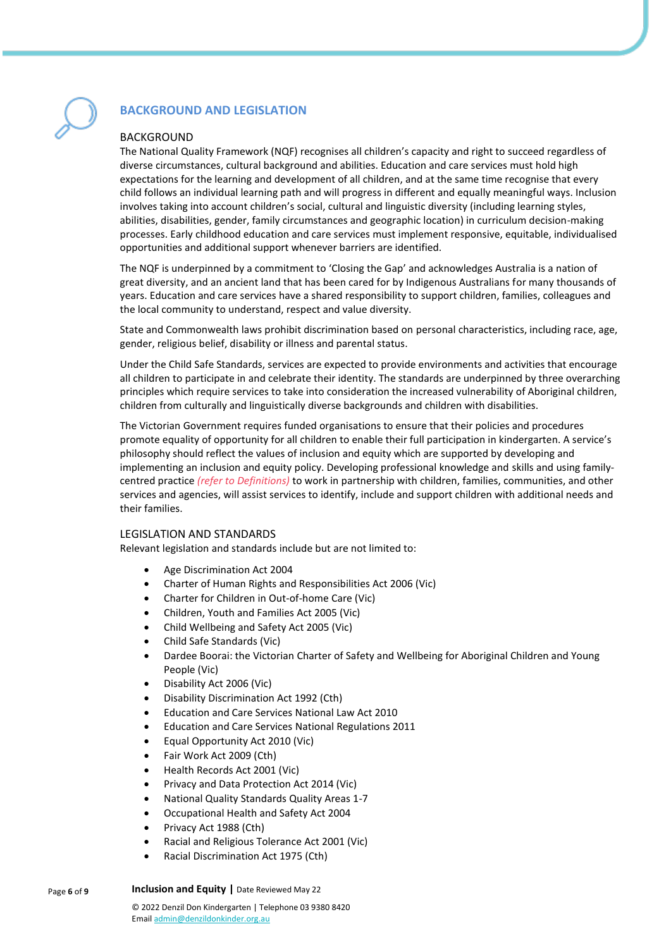

## **BACKGROUND AND LEGISLATION**

## BACKGROUND

The National Quality Framework (NQF) recognises all children's capacity and right to succeed regardless of diverse circumstances, cultural background and abilities. Education and care services must hold high expectations for the learning and development of all children, and at the same time recognise that every child follows an individual learning path and will progress in different and equally meaningful ways. Inclusion involves taking into account children's social, cultural and linguistic diversity (including learning styles, abilities, disabilities, gender, family circumstances and geographic location) in curriculum decision-making processes. Early childhood education and care services must implement responsive, equitable, individualised opportunities and additional support whenever barriers are identified.

The NQF is underpinned by a commitment to 'Closing the Gap' and acknowledges Australia is a nation of great diversity, and an ancient land that has been cared for by Indigenous Australians for many thousands of years. Education and care services have a shared responsibility to support children, families, colleagues and the local community to understand, respect and value diversity.

State and Commonwealth laws prohibit discrimination based on personal characteristics, including race, age, gender, religious belief, disability or illness and parental status.

Under the Child Safe Standards, services are expected to provide environments and activities that encourage all children to participate in and celebrate their identity. The standards are underpinned by three overarching principles which require services to take into consideration the increased vulnerability of Aboriginal children, children from culturally and linguistically diverse backgrounds and children with disabilities.

The Victorian Government requires funded organisations to ensure that their policies and procedures promote equality of opportunity for all children to enable their full participation in kindergarten. A service's philosophy should reflect the values of inclusion and equity which are supported by developing and implementing an inclusion and equity policy. Developing professional knowledge and skills and using familycentred practice *(refer to Definitions)* to work in partnership with children, families, communities, and other services and agencies, will assist services to identify, include and support children with additional needs and their families.

## LEGISLATION AND STANDARDS

Relevant legislation and standards include but are not limited to:

- Age Discrimination Act 2004
- Charter of Human Rights and Responsibilities Act 2006 (Vic)
- Charter for Children in Out-of-home Care (Vic)
- Children, Youth and Families Act 2005 (Vic)
- Child Wellbeing and Safety Act 2005 (Vic)
- Child Safe Standards (Vic)
- Dardee Boorai: the Victorian Charter of Safety and Wellbeing for Aboriginal Children and Young People (Vic)
- Disability Act 2006 (Vic)
- Disability Discrimination Act 1992 (Cth)
- Education and Care Services National Law Act 2010
- Education and Care Services National Regulations 2011
- Equal Opportunity Act 2010 (Vic)
- Fair Work Act 2009 (Cth)
- Health Records Act 2001 (Vic)
- Privacy and Data Protection Act 2014 (Vic)
- National Quality Standards Quality Areas 1-7
- Occupational Health and Safety Act 2004
- Privacy Act 1988 (Cth)
- Racial and Religious Tolerance Act 2001 (Vic)
- Racial Discrimination Act 1975 (Cth)

Page **6** of **9 Inclusion and Equity |** Date Reviewed May 22

> © 2022 Denzil Don Kindergarten | Telephone 03 9380 8420 Emai[l admin@denzildonkinder.org.au](mailto:admin@denzildonkinder.org.au)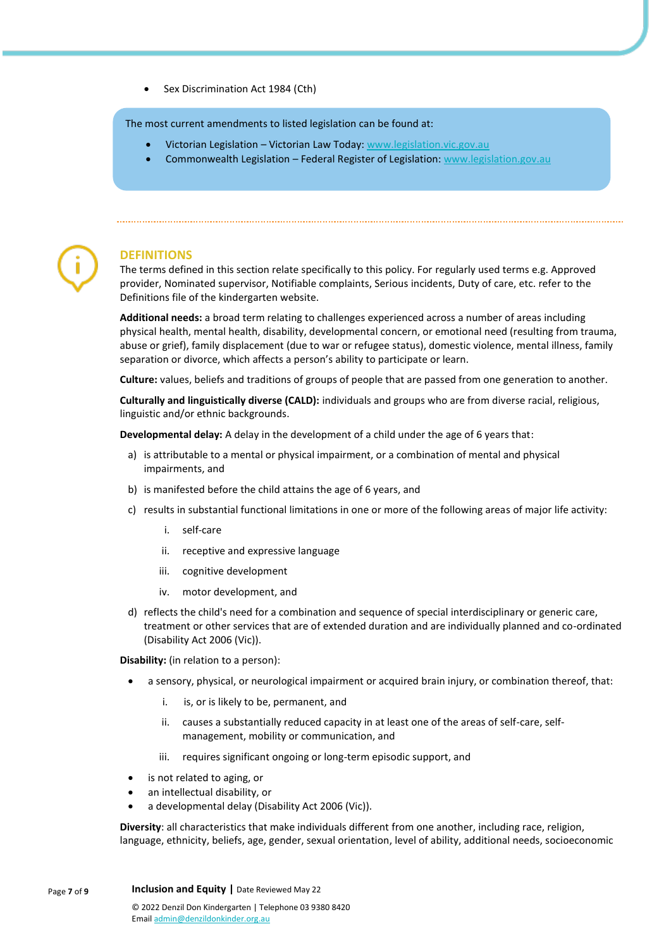Sex Discrimination Act 1984 (Cth)

The most current amendments to listed legislation can be found at:

- Victorian Legislation Victorian Law Today[: www.legislation.vic.gov.au](http://www.legislation.vic.gov.au/)
- Commonwealth Legislation Federal Register of Legislation: [www.legislation.gov.au](http://www.legislation.gov.au/)



## **DEFINITIONS**

The terms defined in this section relate specifically to this policy. For regularly used terms e.g. Approved provider, Nominated supervisor, Notifiable complaints, Serious incidents, Duty of care, etc. refer to the Definitions file of the kindergarten website.

**Additional needs:** a broad term relating to challenges experienced across a number of areas including physical health, mental health, disability, developmental concern, or emotional need (resulting from trauma, abuse or grief), family displacement (due to war or refugee status), domestic violence, mental illness, family separation or divorce, which affects a person's ability to participate or learn.

**Culture:** values, beliefs and traditions of groups of people that are passed from one generation to another.

**Culturally and linguistically diverse (CALD):** individuals and groups who are from diverse racial, religious, linguistic and/or ethnic backgrounds.

**Developmental delay:** A delay in the development of a child under the age of 6 years that:

- a) is attributable to a mental or physical impairment, or a combination of mental and physical impairments, and
- b) is manifested before the child attains the age of 6 years, and
- c) results in substantial functional limitations in one or more of the following areas of major life activity:
	- i. self-care
	- ii. receptive and expressive language
	- iii. cognitive development
	- iv. motor development, and
- d) reflects the child's need for a combination and sequence of special interdisciplinary or generic care, treatment or other services that are of extended duration and are individually planned and co-ordinated (Disability Act 2006 (Vic)).

**Disability:** (in relation to a person):

- a sensory, physical, or neurological impairment or acquired brain injury, or combination thereof, that:
	- i. is, or is likely to be, permanent, and
	- ii. causes a substantially reduced capacity in at least one of the areas of self-care, selfmanagement, mobility or communication, and
	- iii. requires significant ongoing or long-term episodic support, and
- is not related to aging, or
- an intellectual disability, or
- a developmental delay (Disability Act 2006 (Vic)).

**Diversity**: all characteristics that make individuals different from one another, including race, religion, language, ethnicity, beliefs, age, gender, sexual orientation, level of ability, additional needs, socioeconomic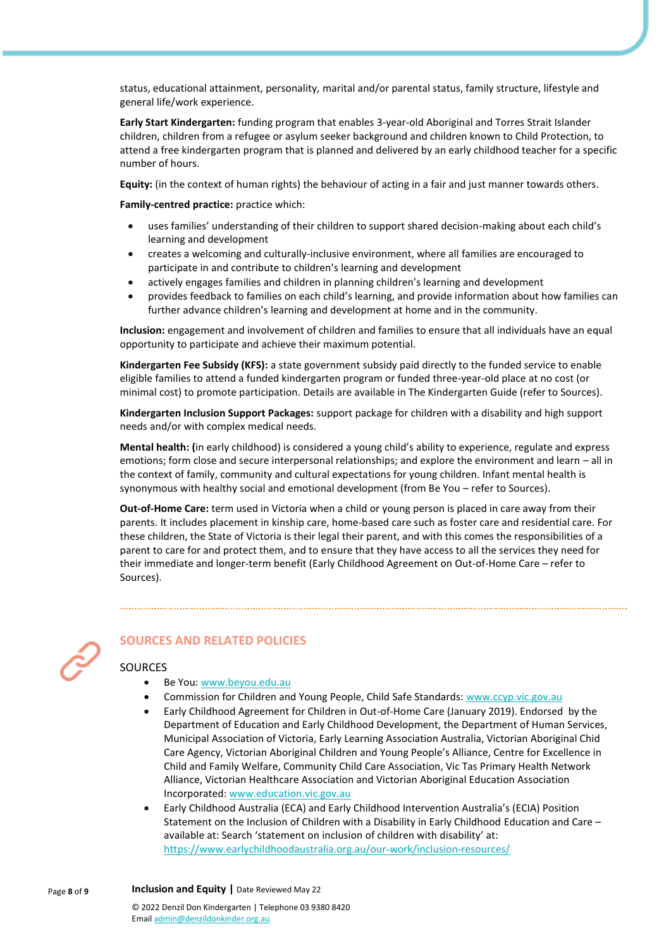status, educational attainment, personality, marital and/or parental status, family structure, lifestyle and general life/work experience.

**Early Start Kindergarten:** funding program that enables 3-year-old Aboriginal and Torres Strait Islander children, children from a refugee or asylum seeker background and children known to Child Protection, to attend a free kindergarten program that is planned and delivered by an early childhood teacher for a specific number of hours.

**Equity:** (in the context of human rights) the behaviour of acting in a fair and just manner towards others.

**Family-centred practice:** practice which:

- uses families' understanding of their children to support shared decision-making about each child's learning and development
- creates a welcoming and culturally-inclusive environment, where all families are encouraged to participate in and contribute to children's learning and development
- actively engages families and children in planning children's learning and development
- provides feedback to families on each child's learning, and provide information about how families can further advance children's learning and development at home and in the community.

**Inclusion:** engagement and involvement of children and families to ensure that all individuals have an equal opportunity to participate and achieve their maximum potential.

**Kindergarten Fee Subsidy (KFS):** a state government subsidy paid directly to the funded service to enable eligible families to attend a funded kindergarten program or funded three-year-old place at no cost (or minimal cost) to promote participation. Details are available in The Kindergarten Guide (refer to Sources).

**Kindergarten Inclusion Support Packages:** support package for children with a disability and high support needs and/or with complex medical needs.

**Mental health: (**in early childhood) is considered a young child's ability to experience, regulate and express emotions; form close and secure interpersonal relationships; and explore the environment and learn – all in the context of family, community and cultural expectations for young children. Infant mental health is synonymous with healthy social and emotional development (from Be You – refer to Sources).

**Out-of-Home Care:** term used in Victoria when a child or young person is placed in care away from their parents. It includes placement in kinship care, home-based care such as foster care and residential care. For these children, the State of Victoria is their legal their parent, and with this comes the responsibilities of a parent to care for and protect them, and to ensure that they have access to all the services they need for their immediate and longer-term benefit (Early Childhood Agreement on Out-of-Home Care – refer to Sources).



## **SOURCES AND RELATED POLICIES**

## SOURCES

- Be You[: www.beyou.edu.au](https://beyou.edu.au/)
- Commission for Children and Young People, Child Safe Standards[: www.ccyp.vic.gov.au](https://ccyp.vic.gov.au/)
- Early Childhood Agreement for Children in Out-of-Home Care (January 2019). Endorsed by the Department of Education and Early Childhood Development, the Department of Human Services, Municipal Association of Victoria, Early Learning Association Australia, Victorian Aboriginal Chid Care Agency, Victorian Aboriginal Children and Young People's Alliance, Centre for Excellence in Child and Family Welfare, Community Child Care Association, Vic Tas Primary Health Network Alliance, Victorian Healthcare Association and Victorian Aboriginal Education Association Incorporated: [www.education.vic.gov.au](https://www.education.vic.gov.au/Pages/default.aspx)
- Early Childhood Australia (ECA) and Early Childhood Intervention Australia's (ECIA) Position Statement on the Inclusion of Children with a Disability in Early Childhood Education and Care – available at: Search 'statement on inclusion of children with disability' at: <https://www.earlychildhoodaustralia.org.au/our-work/inclusion-resources/>

Page **8** of **9 Inclusion and Equity |** Date Reviewed May 22 © 2022 Denzil Don Kindergarten | Telephone 03 9380 8420 Emai[l admin@denzildonkinder.org.au](mailto:admin@denzildonkinder.org.au)